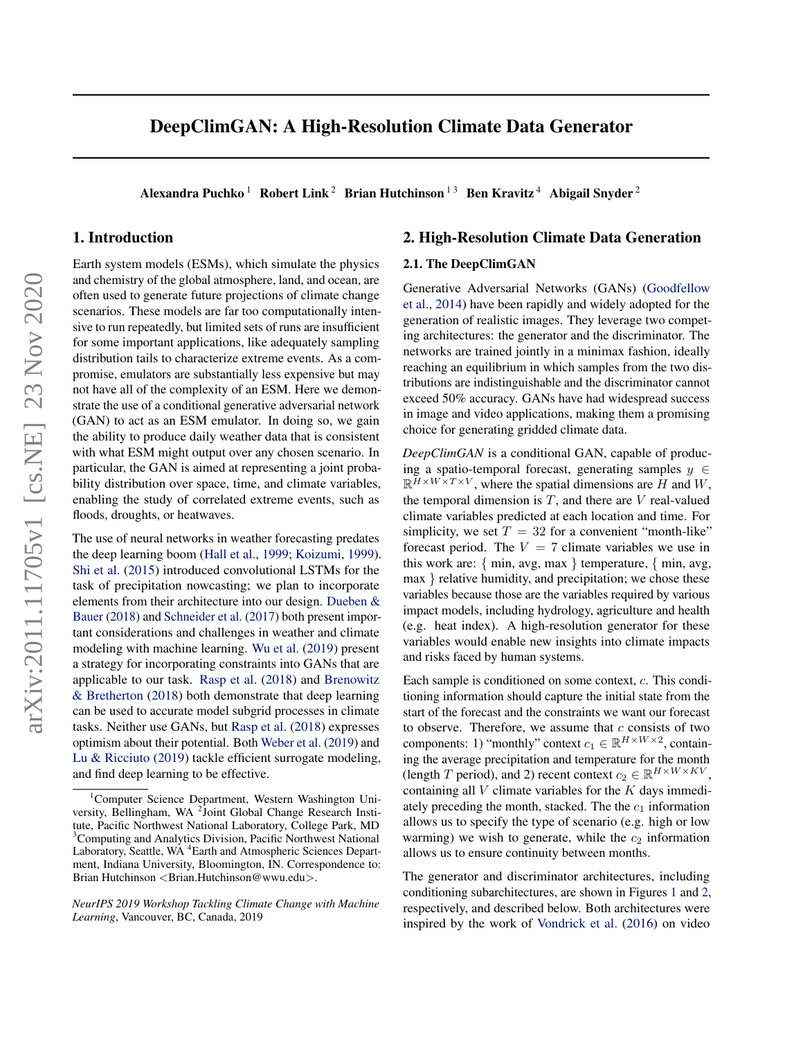# <span id="page-0-0"></span>DeepClimGAN: A High-Resolution Climate Data Generator

Alexandra Puchko<sup>1</sup> Robert Link<sup>2</sup> Brian Hutchinson<sup>13</sup> Ben Kravitz<sup>4</sup> Abigail Snyder<sup>2</sup>

### 1. Introduction

Earth system models (ESMs), which simulate the physics and chemistry of the global atmosphere, land, and ocean, are often used to generate future projections of climate change scenarios. These models are far too computationally intensive to run repeatedly, but limited sets of runs are insufficient for some important applications, like adequately sampling distribution tails to characterize extreme events. As a compromise, emulators are substantially less expensive but may not have all of the complexity of an ESM. Here we demonstrate the use of a conditional generative adversarial network (GAN) to act as an ESM emulator. In doing so, we gain the ability to produce daily weather data that is consistent with what ESM might output over any chosen scenario. In particular, the GAN is aimed at representing a joint probability distribution over space, time, and climate variables, enabling the study of correlated extreme events, such as floods, droughts, or heatwaves.

The use of neural networks in weather forecasting predates the deep learning boom [\(Hall et al.,](#page-3-0) [1999;](#page-3-0) [Koizumi,](#page-3-0) [1999\)](#page-3-0). [Shi et al.](#page-3-0) [\(2015\)](#page-3-0) introduced convolutional LSTMs for the task of precipitation nowcasting; we plan to incorporate elements from their architecture into our design. [Dueben &](#page-3-0) [Bauer](#page-3-0) [\(2018\)](#page-3-0) and [Schneider et al.](#page-3-0) [\(2017\)](#page-3-0) both present important considerations and challenges in weather and climate modeling with machine learning. [Wu et al.](#page-3-0) [\(2019\)](#page-3-0) present a strategy for incorporating constraints into GANs that are applicable to our task. [Rasp et al.](#page-3-0) [\(2018\)](#page-3-0) and [Brenowitz](#page-3-0) [& Bretherton](#page-3-0) [\(2018\)](#page-3-0) both demonstrate that deep learning can be used to accurate model subgrid processes in climate tasks. Neither use GANs, but [Rasp et al.](#page-3-0) [\(2018\)](#page-3-0) expresses optimism about their potential. Both [Weber et al.](#page-3-0) [\(2019\)](#page-3-0) and [Lu & Ricciuto](#page-3-0) [\(2019\)](#page-3-0) tackle efficient surrogate modeling, and find deep learning to be effective.

### 2. High-Resolution Climate Data Generation

#### 2.1. The DeepClimGAN

Generative Adversarial Networks (GANs) [\(Goodfellow](#page-3-0) [et al.,](#page-3-0) [2014\)](#page-3-0) have been rapidly and widely adopted for the generation of realistic images. They leverage two competing architectures: the generator and the discriminator. The networks are trained jointly in a minimax fashion, ideally reaching an equilibrium in which samples from the two distributions are indistinguishable and the discriminator cannot exceed 50% accuracy. GANs have had widespread success in image and video applications, making them a promising choice for generating gridded climate data.

*DeepClimGAN* is a conditional GAN, capable of producing a spatio-temporal forecast, generating samples  $y \in$  $\mathbb{R}^{\bar{H} \times W \times T \times V}$ , where the spatial dimensions are H and W, the temporal dimension is  $T$ , and there are  $V$  real-valued climate variables predicted at each location and time. For simplicity, we set  $T = 32$  for a convenient "month-like" forecast period. The  $V = 7$  climate variables we use in this work are: { min, avg, max } temperature, { min, avg, max } relative humidity, and precipitation; we chose these variables because those are the variables required by various impact models, including hydrology, agriculture and health (e.g. heat index). A high-resolution generator for these variables would enable new insights into climate impacts and risks faced by human systems.

Each sample is conditioned on some context, c. This conditioning information should capture the initial state from the start of the forecast and the constraints we want our forecast to observe. Therefore, we assume that  $c$  consists of two components: 1) "monthly" context  $c_1 \in \mathbb{R}^{H \times W \times 2}$ , containing the average precipitation and temperature for the month (length T period), and 2) recent context  $c_2 \in \mathbb{R}^{H \times W \times KV}$ , containing all  $V$  climate variables for the  $K$  days immediately preceding the month, stacked. The the  $c_1$  information allows us to specify the type of scenario (e.g. high or low warming) we wish to generate, while the  $c_2$  information allows us to ensure continuity between months.

The generator and discriminator architectures, including conditioning subarchitectures, are shown in Figures [1](#page-1-0) and [2,](#page-1-0) respectively, and described below. Both architectures were inspired by the work of [Vondrick et al.](#page-3-0) [\(2016\)](#page-3-0) on video

<sup>1</sup>Computer Science Department, Western Washington University, Bellingham, WA <sup>2</sup>Joint Global Change Research Institute, Pacific Northwest National Laboratory, College Park, MD <sup>3</sup>Computing and Analytics Division, Pacific Northwest National Laboratory, Seattle, WA<sup>4</sup> Earth and Atmospheric Sciences Department, Indiana University, Bloomington, IN. Correspondence to: Brian Hutchinson <Brian.Hutchinson@wwu.edu>.

*NeurIPS 2019 Workshop Tackling Climate Change with Machine Learning*, Vancouver, BC, Canada, 2019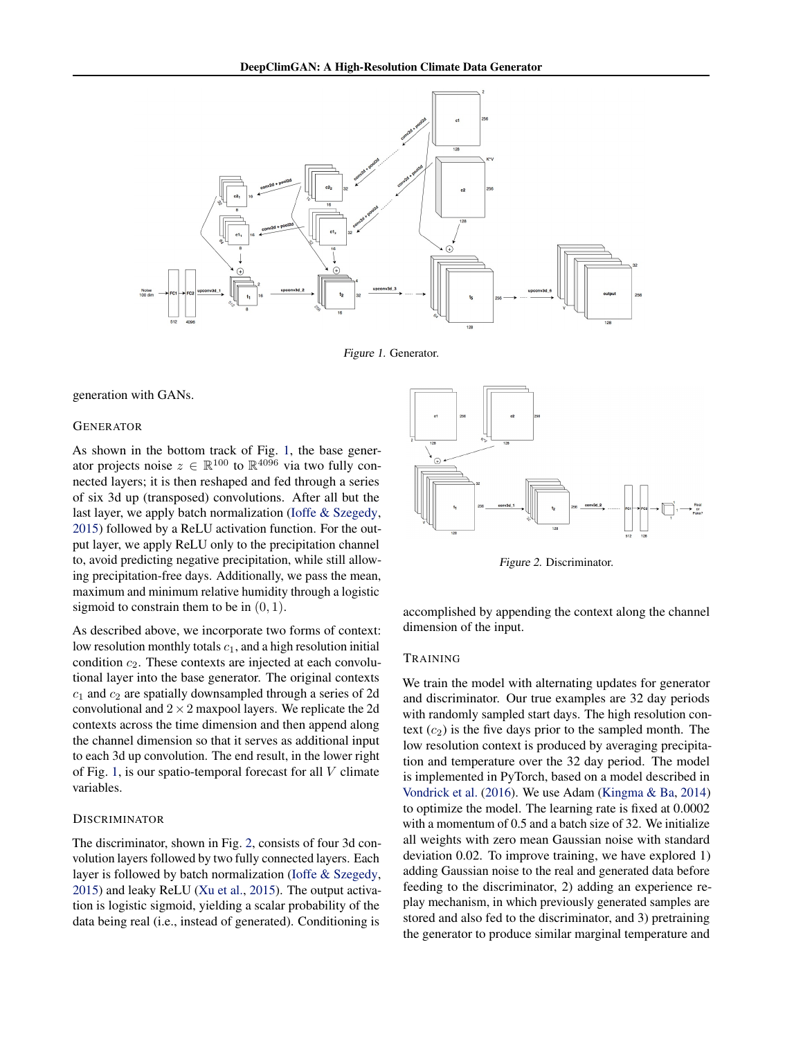<span id="page-1-0"></span>

Figure 1. Generator.

generation with GANs.

#### GENERATOR

As shown in the bottom track of Fig. 1, the base generator projects noise  $z \in \mathbb{R}^{100}$  to  $\mathbb{R}^{40\overline{96}}$  via two fully connected layers; it is then reshaped and fed through a series of six 3d up (transposed) convolutions. After all but the last layer, we apply batch normalization [\(Ioffe & Szegedy,](#page-3-0) [2015\)](#page-3-0) followed by a ReLU activation function. For the output layer, we apply ReLU only to the precipitation channel to, avoid predicting negative precipitation, while still allowing precipitation-free days. Additionally, we pass the mean, maximum and minimum relative humidity through a logistic sigmoid to constrain them to be in  $(0, 1)$ .

As described above, we incorporate two forms of context: low resolution monthly totals  $c_1$ , and a high resolution initial condition  $c_2$ . These contexts are injected at each convolutional layer into the base generator. The original contexts  $c_1$  and  $c_2$  are spatially downsampled through a series of 2d convolutional and  $2 \times 2$  maxpool layers. We replicate the 2d contexts across the time dimension and then append along the channel dimension so that it serves as additional input to each 3d up convolution. The end result, in the lower right of Fig. 1, is our spatio-temporal forecast for all  $V$  climate variables.

#### **DISCRIMINATOR**

The discriminator, shown in Fig. 2, consists of four 3d convolution layers followed by two fully connected layers. Each layer is followed by batch normalization [\(Ioffe & Szegedy,](#page-3-0) [2015\)](#page-3-0) and leaky ReLU [\(Xu et al.,](#page-3-0) [2015\)](#page-3-0). The output activation is logistic sigmoid, yielding a scalar probability of the data being real (i.e., instead of generated). Conditioning is



Figure 2. Discriminator.

accomplished by appending the context along the channel dimension of the input.

#### TRAINING

We train the model with alternating updates for generator and discriminator. Our true examples are 32 day periods with randomly sampled start days. The high resolution context  $(c_2)$  is the five days prior to the sampled month. The low resolution context is produced by averaging precipitation and temperature over the 32 day period. The model is implemented in PyTorch, based on a model described in [Vondrick et al.](#page-3-0) [\(2016\)](#page-3-0). We use Adam [\(Kingma & Ba,](#page-3-0) [2014\)](#page-3-0) to optimize the model. The learning rate is fixed at 0.0002 with a momentum of 0.5 and a batch size of 32. We initialize all weights with zero mean Gaussian noise with standard deviation 0.02. To improve training, we have explored 1) adding Gaussian noise to the real and generated data before feeding to the discriminator, 2) adding an experience replay mechanism, in which previously generated samples are stored and also fed to the discriminator, and 3) pretraining the generator to produce similar marginal temperature and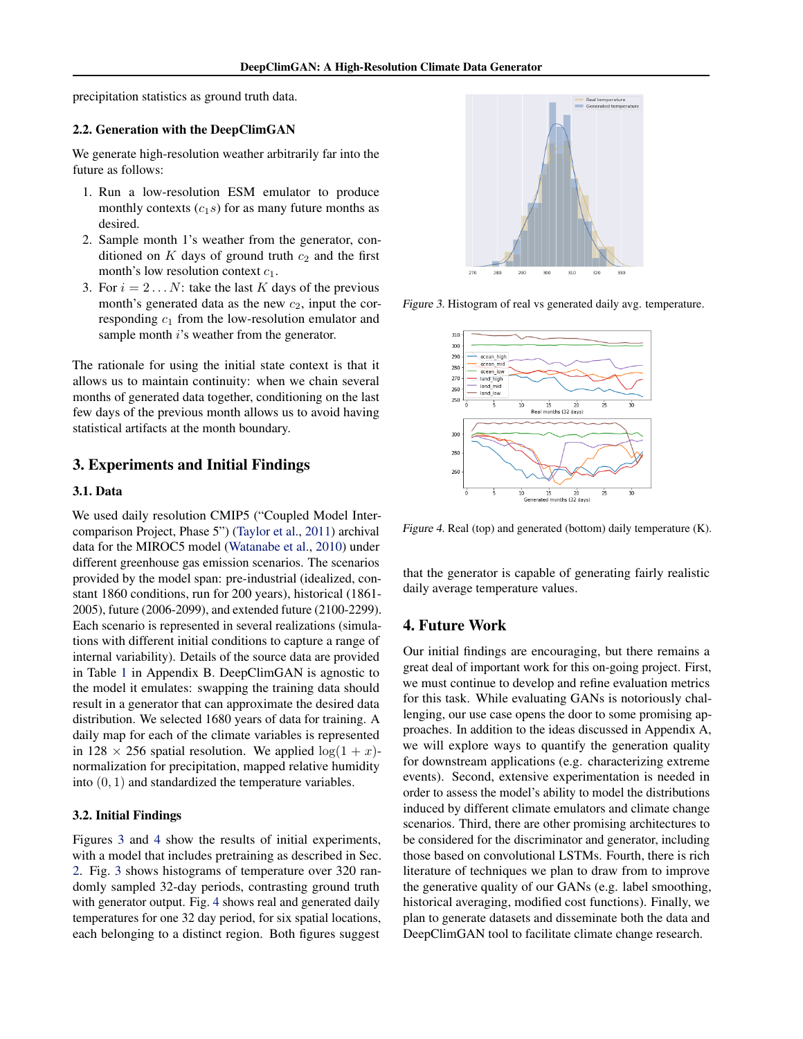precipitation statistics as ground truth data.

### 2.2. Generation with the DeepClimGAN

We generate high-resolution weather arbitrarily far into the future as follows:

- 1. Run a low-resolution ESM emulator to produce monthly contexts  $(c_1s)$  for as many future months as desired.
- 2. Sample month 1's weather from the generator, conditioned on K days of ground truth  $c_2$  and the first month's low resolution context  $c_1$ .
- 3. For  $i = 2...N$ : take the last K days of the previous month's generated data as the new  $c_2$ , input the corresponding  $c_1$  from the low-resolution emulator and sample month *i*'s weather from the generator.

The rationale for using the initial state context is that it allows us to maintain continuity: when we chain several months of generated data together, conditioning on the last few days of the previous month allows us to avoid having statistical artifacts at the month boundary.

# 3. Experiments and Initial Findings

#### 3.1. Data

We used daily resolution CMIP5 ("Coupled Model Intercomparison Project, Phase 5") [\(Taylor et al.,](#page-3-0) [2011\)](#page-3-0) archival data for the MIROC5 model [\(Watanabe et al.,](#page-3-0) [2010\)](#page-3-0) under different greenhouse gas emission scenarios. The scenarios provided by the model span: pre-industrial (idealized, constant 1860 conditions, run for 200 years), historical (1861- 2005), future (2006-2099), and extended future (2100-2299). Each scenario is represented in several realizations (simulations with different initial conditions to capture a range of internal variability). Details of the source data are provided in Table [1](#page-4-0) in Appendix B. DeepClimGAN is agnostic to the model it emulates: swapping the training data should result in a generator that can approximate the desired data distribution. We selected 1680 years of data for training. A daily map for each of the climate variables is represented in 128  $\times$  256 spatial resolution. We applied  $\log(1 + x)$ normalization for precipitation, mapped relative humidity into (0, 1) and standardized the temperature variables.

### 3.2. Initial Findings

Figures 3 and 4 show the results of initial experiments, with a model that includes pretraining as described in Sec. [2.](#page-0-0) Fig. 3 shows histograms of temperature over 320 randomly sampled 32-day periods, contrasting ground truth with generator output. Fig. 4 shows real and generated daily temperatures for one 32 day period, for six spatial locations, each belonging to a distinct region. Both figures suggest



Figure 3. Histogram of real vs generated daily avg. temperature.



Figure 4. Real (top) and generated (bottom) daily temperature (K).

that the generator is capable of generating fairly realistic daily average temperature values.

### 4. Future Work

Our initial findings are encouraging, but there remains a great deal of important work for this on-going project. First, we must continue to develop and refine evaluation metrics for this task. While evaluating GANs is notoriously challenging, our use case opens the door to some promising approaches. In addition to the ideas discussed in Appendix A, we will explore ways to quantify the generation quality for downstream applications (e.g. characterizing extreme events). Second, extensive experimentation is needed in order to assess the model's ability to model the distributions induced by different climate emulators and climate change scenarios. Third, there are other promising architectures to be considered for the discriminator and generator, including those based on convolutional LSTMs. Fourth, there is rich literature of techniques we plan to draw from to improve the generative quality of our GANs (e.g. label smoothing, historical averaging, modified cost functions). Finally, we plan to generate datasets and disseminate both the data and DeepClimGAN tool to facilitate climate change research.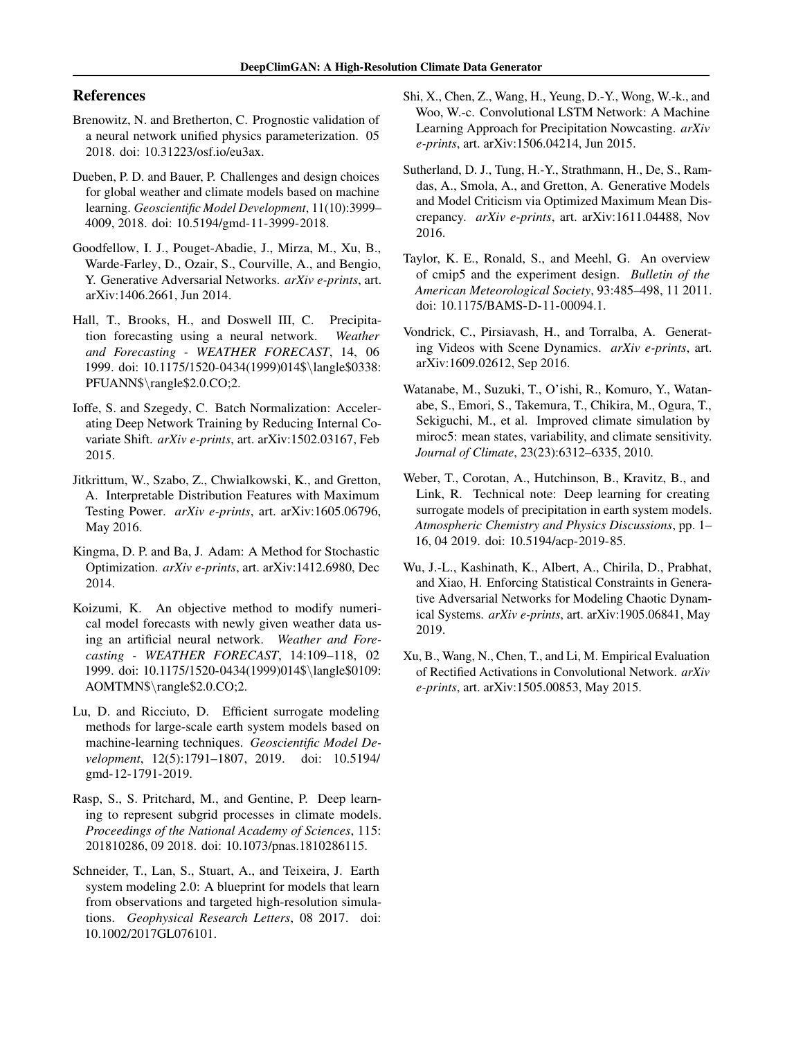# <span id="page-3-0"></span>References

- Brenowitz, N. and Bretherton, C. Prognostic validation of a neural network unified physics parameterization. 05 2018. doi: 10.31223/osf.io/eu3ax.
- Dueben, P. D. and Bauer, P. Challenges and design choices for global weather and climate models based on machine learning. *Geoscientific Model Development*, 11(10):3999– 4009, 2018. doi: 10.5194/gmd-11-3999-2018.
- Goodfellow, I. J., Pouget-Abadie, J., Mirza, M., Xu, B., Warde-Farley, D., Ozair, S., Courville, A., and Bengio, Y. Generative Adversarial Networks. *arXiv e-prints*, art. arXiv:1406.2661, Jun 2014.
- Hall, T., Brooks, H., and Doswell III, C. Precipitation forecasting using a neural network. *Weather and Forecasting - WEATHER FORECAST*, 14, 06 1999. doi: 10.1175/1520-0434(1999)014\$\langle\$0338: PFUANN\$\rangle\$2.0.CO;2.
- Ioffe, S. and Szegedy, C. Batch Normalization: Accelerating Deep Network Training by Reducing Internal Covariate Shift. *arXiv e-prints*, art. arXiv:1502.03167, Feb 2015.
- Jitkrittum, W., Szabo, Z., Chwialkowski, K., and Gretton, A. Interpretable Distribution Features with Maximum Testing Power. *arXiv e-prints*, art. arXiv:1605.06796, May 2016.
- Kingma, D. P. and Ba, J. Adam: A Method for Stochastic Optimization. *arXiv e-prints*, art. arXiv:1412.6980, Dec 2014.
- Koizumi, K. An objective method to modify numerical model forecasts with newly given weather data using an artificial neural network. *Weather and Forecasting - WEATHER FORECAST*, 14:109–118, 02 1999. doi: 10.1175/1520-0434(1999)014\$\langle\$0109: AOMTMN\$\rangle\$2.0.CO;2.
- Lu, D. and Ricciuto, D. Efficient surrogate modeling methods for large-scale earth system models based on machine-learning techniques. *Geoscientific Model Development*, 12(5):1791–1807, 2019. doi: 10.5194/ gmd-12-1791-2019.
- Rasp, S., S. Pritchard, M., and Gentine, P. Deep learning to represent subgrid processes in climate models. *Proceedings of the National Academy of Sciences*, 115: 201810286, 09 2018. doi: 10.1073/pnas.1810286115.
- Schneider, T., Lan, S., Stuart, A., and Teixeira, J. Earth system modeling 2.0: A blueprint for models that learn from observations and targeted high-resolution simulations. *Geophysical Research Letters*, 08 2017. doi: 10.1002/2017GL076101.
- Shi, X., Chen, Z., Wang, H., Yeung, D.-Y., Wong, W.-k., and Woo, W.-c. Convolutional LSTM Network: A Machine Learning Approach for Precipitation Nowcasting. *arXiv e-prints*, art. arXiv:1506.04214, Jun 2015.
- Sutherland, D. J., Tung, H.-Y., Strathmann, H., De, S., Ramdas, A., Smola, A., and Gretton, A. Generative Models and Model Criticism via Optimized Maximum Mean Discrepancy. *arXiv e-prints*, art. arXiv:1611.04488, Nov 2016.
- Taylor, K. E., Ronald, S., and Meehl, G. An overview of cmip5 and the experiment design. *Bulletin of the American Meteorological Society*, 93:485–498, 11 2011. doi: 10.1175/BAMS-D-11-00094.1.
- Vondrick, C., Pirsiavash, H., and Torralba, A. Generating Videos with Scene Dynamics. *arXiv e-prints*, art. arXiv:1609.02612, Sep 2016.
- Watanabe, M., Suzuki, T., O'ishi, R., Komuro, Y., Watanabe, S., Emori, S., Takemura, T., Chikira, M., Ogura, T., Sekiguchi, M., et al. Improved climate simulation by miroc5: mean states, variability, and climate sensitivity. *Journal of Climate*, 23(23):6312–6335, 2010.
- Weber, T., Corotan, A., Hutchinson, B., Kravitz, B., and Link, R. Technical note: Deep learning for creating surrogate models of precipitation in earth system models. *Atmospheric Chemistry and Physics Discussions*, pp. 1– 16, 04 2019. doi: 10.5194/acp-2019-85.
- Wu, J.-L., Kashinath, K., Albert, A., Chirila, D., Prabhat, and Xiao, H. Enforcing Statistical Constraints in Generative Adversarial Networks for Modeling Chaotic Dynamical Systems. *arXiv e-prints*, art. arXiv:1905.06841, May 2019.
- Xu, B., Wang, N., Chen, T., and Li, M. Empirical Evaluation of Rectified Activations in Convolutional Network. *arXiv e-prints*, art. arXiv:1505.00853, May 2015.